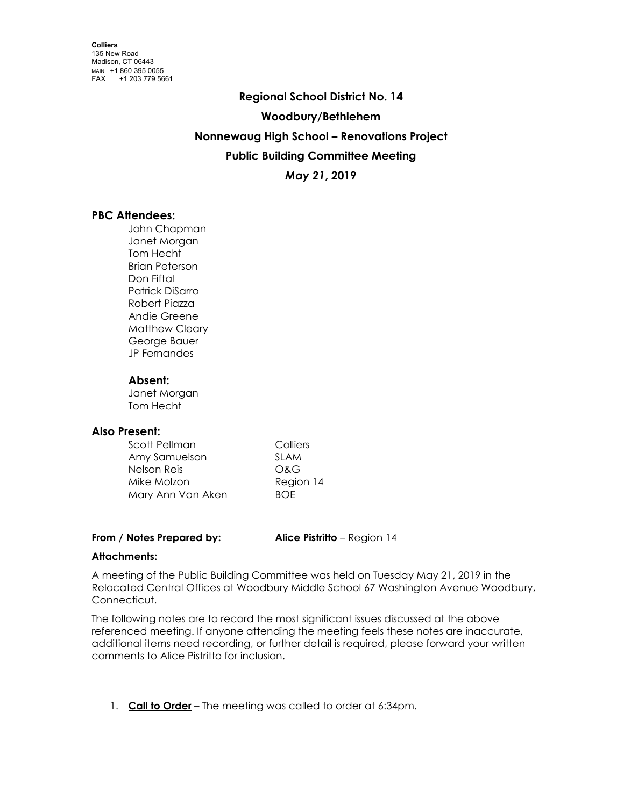**Regional School District No. 14 Woodbury/Bethlehem Nonnewaug High School – Renovations Project Public Building Committee Meeting** *May 21***, 2019**

# **PBC Attendees:**

John Chapman Janet Morgan Tom Hecht Brian Peterson Don Fiftal Patrick DiSarro Robert Piazza Andie Greene Matthew Cleary George Bauer JP Fernandes

### **Absent:**

Janet Morgan Tom Hecht

# **Also Present:**

| Scott Pellman     | Colliers    |
|-------------------|-------------|
| Amy Samuelson     | <b>SLAM</b> |
| Nelson Reis       | O&G         |
| Mike Molzon       | Region 14   |
| Mary Ann Van Aken | <b>BOF</b>  |

**From / Notes Prepared by: Alice Pistritto** – Region 14

# **Attachments:**

A meeting of the Public Building Committee was held on Tuesday May 21, 2019 in the Relocated Central Offices at Woodbury Middle School 67 Washington Avenue Woodbury, Connecticut.

The following notes are to record the most significant issues discussed at the above referenced meeting. If anyone attending the meeting feels these notes are inaccurate, additional items need recording, or further detail is required, please forward your written comments to Alice Pistritto for inclusion.

1. **Call to Order** – The meeting was called to order at 6:34pm.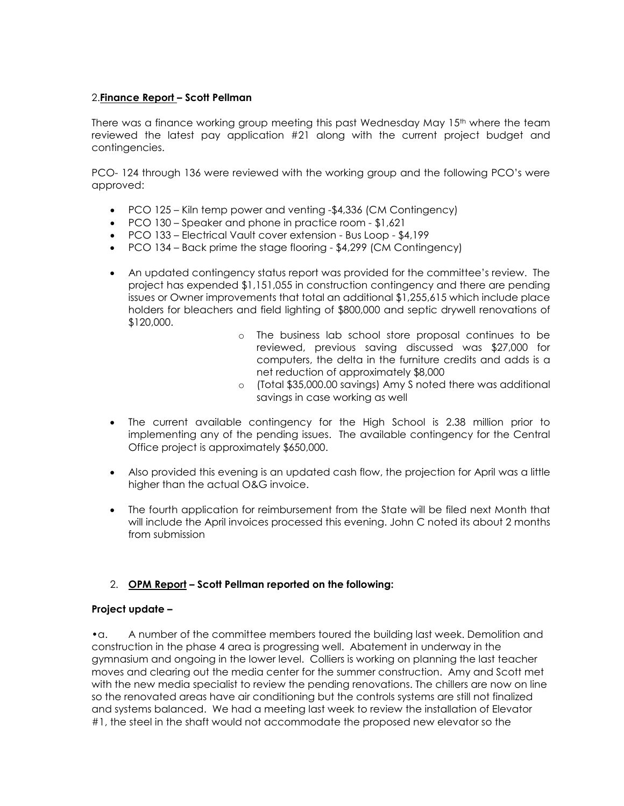### 2.**Finance Report – Scott Pellman**

There was a finance working group meeting this past Wednesday May  $15<sup>th</sup>$  where the team reviewed the latest pay application #21 along with the current project budget and contingencies.

PCO- 124 through 136 were reviewed with the working group and the following PCO's were approved:

- PCO 125 Kiln temp power and venting -\$4,336 (CM Contingency)
- PCO 130 Speaker and phone in practice room \$1,621
- PCO 133 Electrical Vault cover extension Bus Loop \$4,199
- PCO 134 Back prime the stage flooring \$4,299 (CM Contingency)
- An updated contingency status report was provided for the committee's review. The project has expended \$1,151,055 in construction contingency and there are pending issues or Owner improvements that total an additional \$1,255,615 which include place holders for bleachers and field lighting of \$800,000 and septic drywell renovations of \$120,000.
	- o The business lab school store proposal continues to be reviewed, previous saving discussed was \$27,000 for computers, the delta in the furniture credits and adds is a net reduction of approximately \$8,000
	- o (Total \$35,000.00 savings) Amy S noted there was additional savings in case working as well
- The current available contingency for the High School is 2.38 million prior to implementing any of the pending issues. The available contingency for the Central Office project is approximately \$650,000.
- Also provided this evening is an updated cash flow, the projection for April was a little higher than the actual O&G invoice.
- The fourth application for reimbursement from the State will be filed next Month that will include the April invoices processed this evening. John C noted its about 2 months from submission

### 2. **OPM Report – Scott Pellman reported on the following:**

### **Project update –**

•a. A number of the committee members toured the building last week. Demolition and construction in the phase 4 area is progressing well. Abatement in underway in the gymnasium and ongoing in the lower level. Colliers is working on planning the last teacher moves and clearing out the media center for the summer construction. Amy and Scott met with the new media specialist to review the pending renovations. The chillers are now on line so the renovated areas have air conditioning but the controls systems are still not finalized and systems balanced. We had a meeting last week to review the installation of Elevator #1, the steel in the shaft would not accommodate the proposed new elevator so the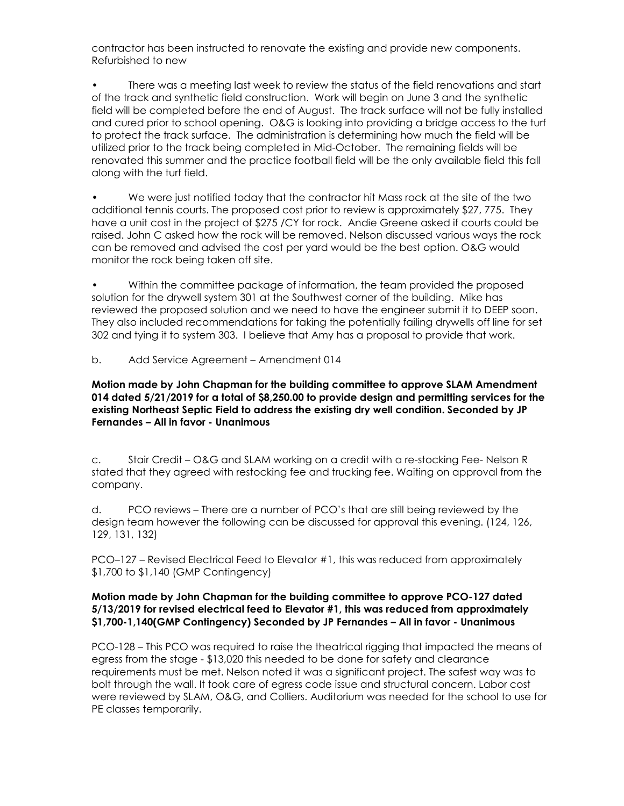contractor has been instructed to renovate the existing and provide new components. Refurbished to new

• There was a meeting last week to review the status of the field renovations and start of the track and synthetic field construction. Work will begin on June 3 and the synthetic field will be completed before the end of August. The track surface will not be fully installed and cured prior to school opening. O&G is looking into providing a bridge access to the turf to protect the track surface. The administration is determining how much the field will be utilized prior to the track being completed in Mid-October. The remaining fields will be renovated this summer and the practice football field will be the only available field this fall along with the turf field.

• We were just notified today that the contractor hit Mass rock at the site of the two additional tennis courts. The proposed cost prior to review is approximately \$27, 775. They have a unit cost in the project of \$275 /CY for rock. Andie Greene asked if courts could be raised. John C asked how the rock will be removed. Nelson discussed various ways the rock can be removed and advised the cost per yard would be the best option. O&G would monitor the rock being taken off site.

• Within the committee package of information, the team provided the proposed solution for the drywell system 301 at the Southwest corner of the building. Mike has reviewed the proposed solution and we need to have the engineer submit it to DEEP soon. They also included recommendations for taking the potentially failing drywells off line for set 302 and tying it to system 303. I believe that Amy has a proposal to provide that work.

b. Add Service Agreement – Amendment 014

**Motion made by John Chapman for the building committee to approve SLAM Amendment 014 dated 5/21/2019 for a total of \$8,250.00 to provide design and permitting services for the existing Northeast Septic Field to address the existing dry well condition. Seconded by JP Fernandes – All in favor - Unanimous**

c. Stair Credit – O&G and SLAM working on a credit with a re-stocking Fee- Nelson R stated that they agreed with restocking fee and trucking fee. Waiting on approval from the company.

d. PCO reviews – There are a number of PCO's that are still being reviewed by the design team however the following can be discussed for approval this evening. (124, 126, 129, 131, 132)

PCO–127 – Revised Electrical Feed to Elevator #1, this was reduced from approximately \$1,700 to \$1,140 (GMP Contingency)

### **Motion made by John Chapman for the building committee to approve PCO-127 dated 5/13/2019 for revised electrical feed to Elevator #1, this was reduced from approximately \$1,700-1,140(GMP Contingency) Seconded by JP Fernandes – All in favor - Unanimous**

PCO-128 – This PCO was required to raise the theatrical rigging that impacted the means of egress from the stage - \$13,020 this needed to be done for safety and clearance requirements must be met. Nelson noted it was a significant project. The safest way was to bolt through the wall. It took care of egress code issue and structural concern. Labor cost were reviewed by SLAM, O&G, and Colliers. Auditorium was needed for the school to use for PE classes temporarily.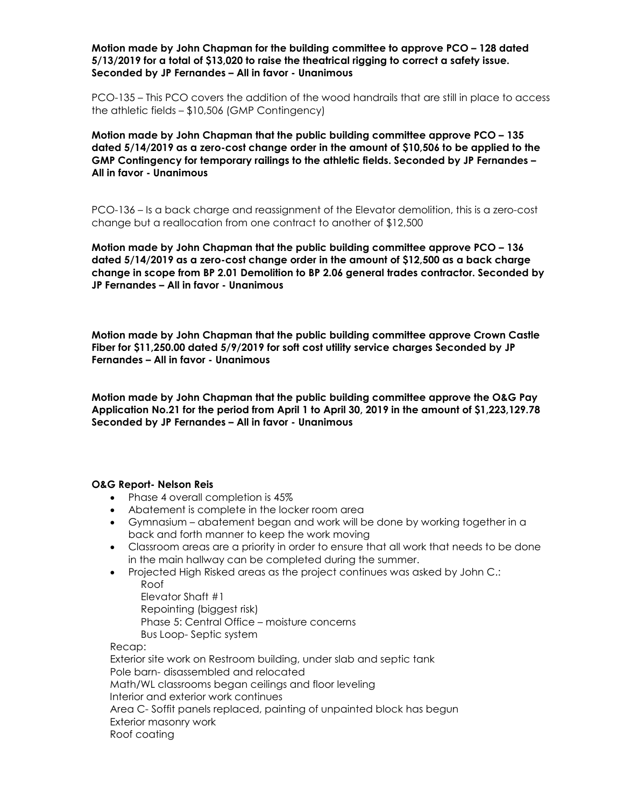**Motion made by John Chapman for the building committee to approve PCO – 128 dated 5/13/2019 for a total of \$13,020 to raise the theatrical rigging to correct a safety issue. Seconded by JP Fernandes – All in favor - Unanimous**

PCO-135 – This PCO covers the addition of the wood handrails that are still in place to access the athletic fields – \$10,506 (GMP Contingency)

**Motion made by John Chapman that the public building committee approve PCO – 135 dated 5/14/2019 as a zero-cost change order in the amount of \$10,506 to be applied to the GMP Contingency for temporary railings to the athletic fields. Seconded by JP Fernandes – All in favor - Unanimous**

PCO-136 – Is a back charge and reassignment of the Elevator demolition, this is a zero-cost change but a reallocation from one contract to another of \$12,500

**Motion made by John Chapman that the public building committee approve PCO – 136 dated 5/14/2019 as a zero-cost change order in the amount of \$12,500 as a back charge change in scope from BP 2.01 Demolition to BP 2.06 general trades contractor. Seconded by JP Fernandes – All in favor - Unanimous**

**Motion made by John Chapman that the public building committee approve Crown Castle Fiber for \$11,250.00 dated 5/9/2019 for soft cost utility service charges Seconded by JP Fernandes – All in favor - Unanimous**

**Motion made by John Chapman that the public building committee approve the O&G Pay Application No.21 for the period from April 1 to April 30, 2019 in the amount of \$1,223,129.78 Seconded by JP Fernandes – All in favor - Unanimous**

#### **O&G Report- Nelson Reis**

- Phase 4 overall completion is 45%
- Abatement is complete in the locker room area
- Gymnasium abatement began and work will be done by working together in a back and forth manner to keep the work moving
- Classroom areas are a priority in order to ensure that all work that needs to be done in the main hallway can be completed during the summer.
- Projected High Risked areas as the project continues was asked by John C.:

Roof

 Elevator Shaft #1 Repointing (biggest risk) Phase 5: Central Office – moisture concerns Bus Loop- Septic system Recap:

Exterior site work on Restroom building, under slab and septic tank Pole barn- disassembled and relocated Math/WL classrooms began ceilings and floor leveling Interior and exterior work continues Area C- Soffit panels replaced, painting of unpainted block has begun Exterior masonry work Roof coating